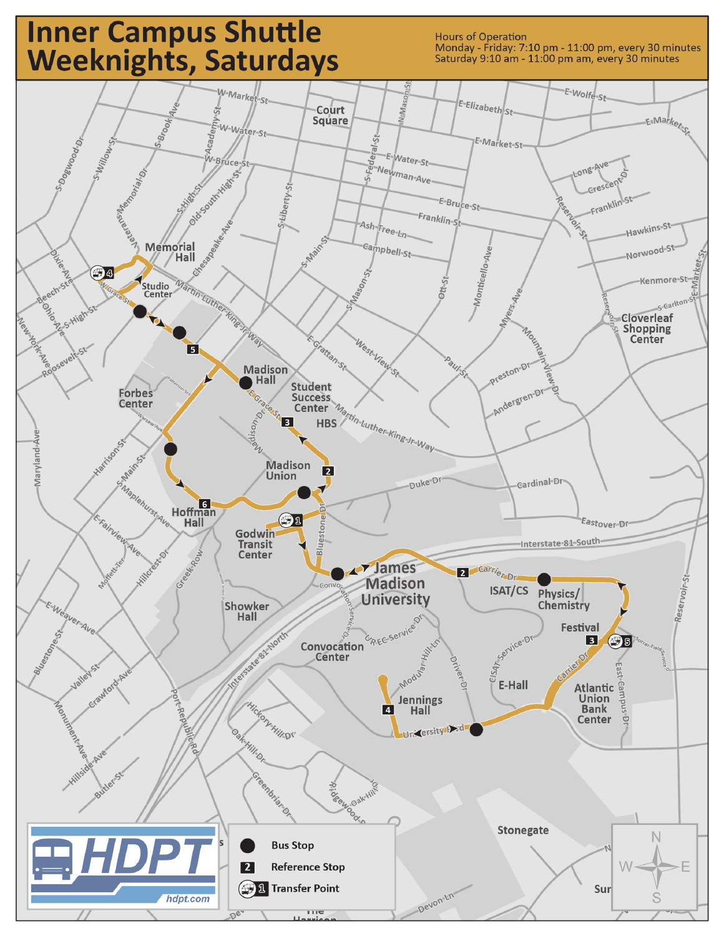## **Inner Campus Shuttle** Weeknights, Saturdays

**Hours of Operation** Monday - Friday: 7:10 pm - 11:00 pm, every 30 minutes Saturday 9:10 am - 11:00 pm am, every 30 minutes

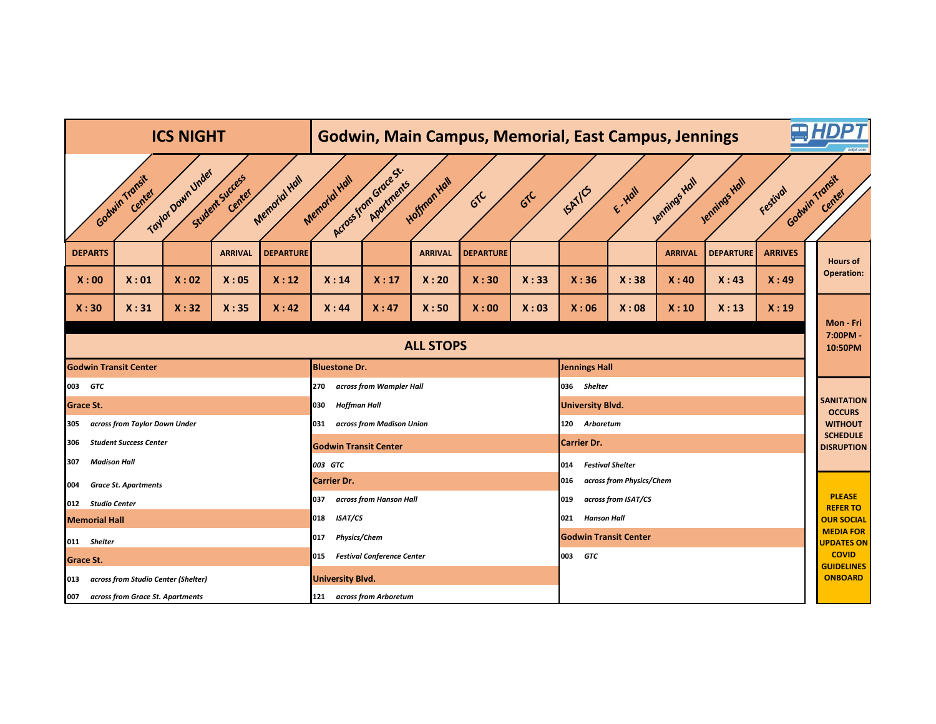|                                                                                                                                                                                                                                                                            |                                                      |                                     | <b>ICS NIGHT</b> |                |                  | <b>Godwin, Main Campus, Memorial, East Campus, Jennings</b> |                                  |                |                  |                      |                                 |               |                |                  |                     | <b>AHDPT</b> |                                       |
|----------------------------------------------------------------------------------------------------------------------------------------------------------------------------------------------------------------------------------------------------------------------------|------------------------------------------------------|-------------------------------------|------------------|----------------|------------------|-------------------------------------------------------------|----------------------------------|----------------|------------------|----------------------|---------------------------------|---------------|----------------|------------------|---------------------|--------------|---------------------------------------|
| Across from Grace St.<br>Toylor Down Under<br>Student Success<br>Godwin Transit<br>Godwin Transit<br>Memorial Hall<br>Memorial Hall<br>Hoffman Hall<br>Jennings Hall<br>Jennings Hall<br>Aportments<br>ISATICS<br>Festival<br>E-Hall<br>Center<br>Center<br>610<br>$G^{C}$ |                                                      |                                     |                  |                |                  |                                                             |                                  |                |                  |                      |                                 | Center        |                |                  |                     |              |                                       |
|                                                                                                                                                                                                                                                                            | <b>DEPARTS</b>                                       |                                     |                  | <b>ARRIVAL</b> | <b>DEPARTURE</b> |                                                             |                                  | <b>ARRIVAL</b> | <b>DEPARTURE</b> |                      |                                 |               | <b>ARRIVAL</b> | <b>DEPARTURE</b> | <b>ARRIVES</b>      |              | <b>Hours of</b>                       |
|                                                                                                                                                                                                                                                                            | X:00                                                 | X:01                                | X:02             | X:05           | X:12             | X:14                                                        | X:17                             | X:20           | X:30             | X:33                 | X:36                            | X:38          | X:40           | X:43             | X:49                |              | <b>Operation:</b>                     |
|                                                                                                                                                                                                                                                                            | X:30                                                 | X:31                                | X:32             | X:35           | X:42             | X:44                                                        | X:47                             | X:50           | X:00             | X:03                 | X:06                            | X:08          | X:10           | X:13             | X:19                |              |                                       |
|                                                                                                                                                                                                                                                                            | <b>ALL STOPS</b>                                     |                                     |                  |                |                  |                                                             |                                  |                |                  |                      |                                 |               |                |                  | 7:00PM -<br>10:50PM | Mon - Fri    |                                       |
|                                                                                                                                                                                                                                                                            | <b>Godwin Transit Center</b><br><b>Bluestone Dr.</b> |                                     |                  |                |                  |                                                             |                                  |                |                  | <b>Jennings Hall</b> |                                 |               |                |                  |                     |              |                                       |
| 003 GTC                                                                                                                                                                                                                                                                    |                                                      |                                     |                  |                |                  | across from Wampler Hall<br>270                             |                                  |                |                  |                      | 036 Shelter                     |               |                |                  |                     |              |                                       |
| <b>Grace St.</b>                                                                                                                                                                                                                                                           |                                                      |                                     |                  |                |                  | 030<br><b>Hoffman Hall</b>                                  |                                  |                |                  |                      | <b>University Blvd.</b>         |               |                |                  |                     |              | <b>SANITATION</b><br><b>OCCURS</b>    |
| 305                                                                                                                                                                                                                                                                        | across from Taylor Down Under                        |                                     |                  |                |                  |                                                             | across from Madison Union<br>031 |                |                  |                      |                                 | 120 Arboretum |                |                  |                     |              |                                       |
| <b>Student Success Center</b><br>306                                                                                                                                                                                                                                       |                                                      |                                     |                  |                |                  | <b>Godwin Transit Center</b>                                |                                  |                |                  |                      | <b>Carrier Dr.</b>              |               |                |                  |                     |              | <b>SCHEDULE</b><br><b>DISRUPTION</b>  |
| 307                                                                                                                                                                                                                                                                        | <b>Madison Hall</b>                                  |                                     |                  |                |                  | 003 GTC                                                     |                                  |                |                  |                      | <b>Festival Shelter</b><br>014  |               |                |                  |                     |              |                                       |
| <b>Grace St. Apartments</b><br>004                                                                                                                                                                                                                                         |                                                      |                                     |                  |                |                  | <b>Carrier Dr.</b>                                          |                                  |                |                  |                      | across from Physics/Chem<br>016 |               |                |                  |                     |              |                                       |
|                                                                                                                                                                                                                                                                            | 012 Studio Center                                    |                                     |                  |                |                  | across from Hanson Hall<br>037                              |                                  |                |                  |                      | across from ISAT/CS<br>019      |               |                |                  |                     |              | <b>PLEASE</b><br><b>REFERTO</b>       |
|                                                                                                                                                                                                                                                                            | <b>Memorial Hall</b>                                 |                                     |                  |                |                  | <b>ISAT/CS</b><br>018                                       |                                  |                |                  |                      | <b>Hanson Hall</b><br>021       |               |                |                  |                     |              | <b>OUR SOCIAL</b>                     |
|                                                                                                                                                                                                                                                                            | 011 Shelter                                          |                                     |                  |                |                  | 017<br><b>Physics/Chem</b>                                  |                                  |                |                  |                      | <b>Godwin Transit Center</b>    |               |                |                  |                     |              | <b>MEDIA FOR</b><br><b>UPDATES ON</b> |
| <b>Grace St.</b>                                                                                                                                                                                                                                                           |                                                      |                                     |                  |                |                  | <b>Festival Conference Center</b><br>015                    |                                  |                |                  |                      | 003<br><b>GTC</b>               |               |                |                  |                     |              | <b>COVID</b>                          |
| 013                                                                                                                                                                                                                                                                        |                                                      | across from Studio Center (Shelter) |                  |                |                  | <b>University Blvd.</b>                                     |                                  |                |                  |                      |                                 |               |                |                  |                     |              | <b>GUIDELINES</b><br><b>ONBOARD</b>   |
| 007                                                                                                                                                                                                                                                                        |                                                      | across from Grace St. Apartments    |                  |                |                  | 121 across from Arboretum                                   |                                  |                |                  |                      |                                 |               |                |                  |                     |              |                                       |